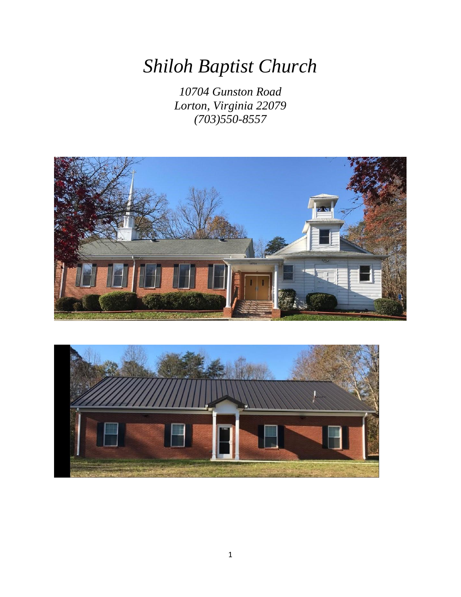# *Shiloh Baptist Church*

*10704 Gunston Road Lorton, Virginia 22079 (703)550-8557*



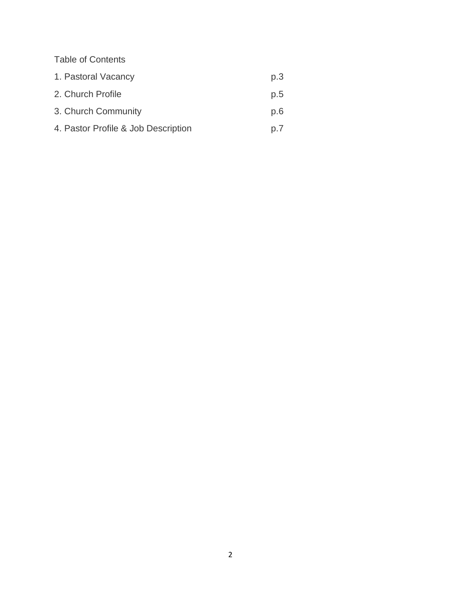Table of Contents

| 1. Pastoral Vacancy                 | p.3 |
|-------------------------------------|-----|
| 2. Church Profile                   | p.5 |
| 3. Church Community                 | p.6 |
| 4. Pastor Profile & Job Description | p.7 |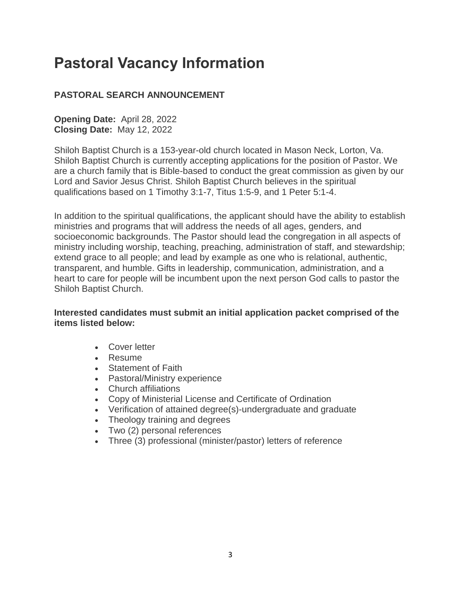# **Pastoral Vacancy Information**

# **PASTORAL SEARCH ANNOUNCEMENT**

**Opening Date:** April 28, 2022 **Closing Date:** May 12, 2022

Shiloh Baptist Church is a 153-year-old church located in Mason Neck, Lorton, Va. Shiloh Baptist Church is currently accepting applications for the position of Pastor. We are a church family that is Bible-based to conduct the great commission as given by our Lord and Savior Jesus Christ. Shiloh Baptist Church believes in the spiritual qualifications based on 1 Timothy 3:1-7, Titus 1:5-9, and 1 Peter 5:1-4.

In addition to the spiritual qualifications, the applicant should have the ability to establish ministries and programs that will address the needs of all ages, genders, and socioeconomic backgrounds. The Pastor should lead the congregation in all aspects of ministry including worship, teaching, preaching, administration of staff, and stewardship; extend grace to all people; and lead by example as one who is relational, authentic, transparent, and humble. Gifts in leadership, communication, administration, and a heart to care for people will be incumbent upon the next person God calls to pastor the Shiloh Baptist Church.

#### **Interested candidates must submit an initial application packet comprised of the items listed below:**

- Cover letter
- Resume
- Statement of Faith
- Pastoral/Ministry experience
- Church affiliations
- Copy of Ministerial License and Certificate of Ordination
- Verification of attained degree(s)-undergraduate and graduate
- Theology training and degrees
- Two (2) personal references
- Three (3) professional (minister/pastor) letters of reference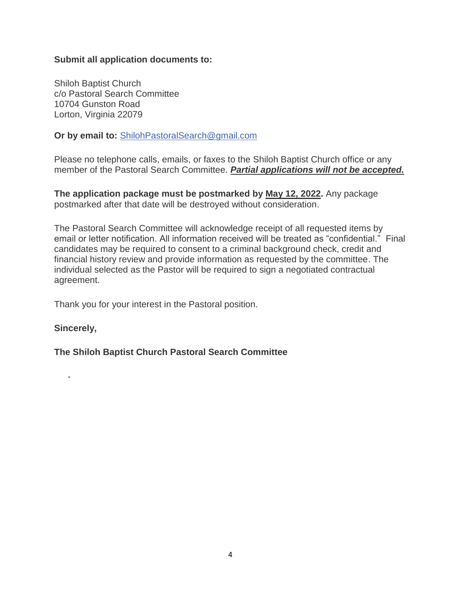#### **Submit all application documents to:**

Shiloh Baptist Church c/o Pastoral Search Committee 10704 Gunston Road Lorton, Virginia 22079

**Or by email to:** [ShilohPastoralSearch@gmail.com](mailto:ShilohPastoralSearch@gmail.com)

Please no telephone calls, emails, or faxes to the Shiloh Baptist Church office or any member of the Pastoral Search Committee. *Partial applications will not be accepted.*

**The application package must be postmarked by May 12, 2022.** Any package postmarked after that date will be destroyed without consideration.

The Pastoral Search Committee will acknowledge receipt of all requested items by email or letter notification. All information received will be treated as "confidential." Final candidates may be required to consent to a criminal background check, credit and financial history review and provide information as requested by the committee. The individual selected as the Pastor will be required to sign a negotiated contractual agreement.

Thank you for your interest in the Pastoral position.

#### **Sincerely,**

#### **The Shiloh Baptist Church Pastoral Search Committee**

-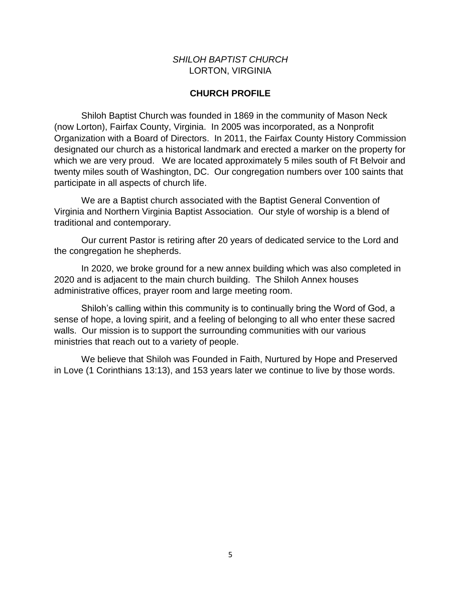#### *SHILOH BAPTIST CHURCH* LORTON, VIRGINIA

#### **CHURCH PROFILE**

Shiloh Baptist Church was founded in 1869 in the community of Mason Neck (now Lorton), Fairfax County, Virginia. In 2005 was incorporated, as a Nonprofit Organization with a Board of Directors. In 2011, the Fairfax County History Commission designated our church as a historical landmark and erected a marker on the property for which we are very proud. We are located approximately 5 miles south of Ft Belvoir and twenty miles south of Washington, DC. Our congregation numbers over 100 saints that participate in all aspects of church life.

We are a Baptist church associated with the Baptist General Convention of Virginia and Northern Virginia Baptist Association. Our style of worship is a blend of traditional and contemporary.

Our current Pastor is retiring after 20 years of dedicated service to the Lord and the congregation he shepherds.

In 2020, we broke ground for a new annex building which was also completed in 2020 and is adjacent to the main church building. The Shiloh Annex houses administrative offices, prayer room and large meeting room.

Shiloh's calling within this community is to continually bring the Word of God, a sense of hope, a loving spirit, and a feeling of belonging to all who enter these sacred walls. Our mission is to support the surrounding communities with our various ministries that reach out to a variety of people.

We believe that Shiloh was Founded in Faith, Nurtured by Hope and Preserved in Love (1 Corinthians 13:13), and 153 years later we continue to live by those words.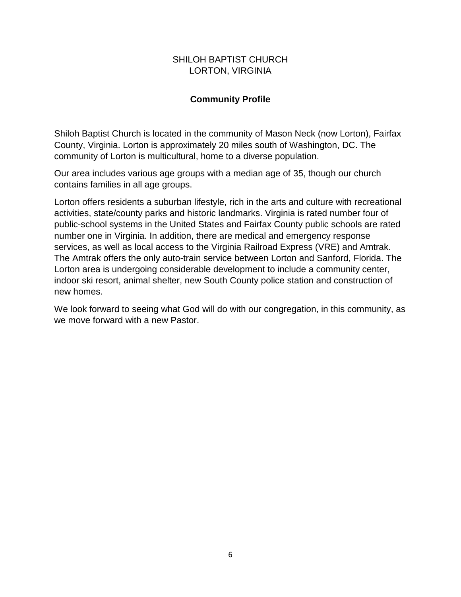#### SHILOH BAPTIST CHURCH LORTON, VIRGINIA

# **Community Profile**

Shiloh Baptist Church is located in the community of Mason Neck (now Lorton), Fairfax County, Virginia. Lorton is approximately 20 miles south of Washington, DC. The community of Lorton is multicultural, home to a diverse population.

Our area includes various age groups with a median age of 35, though our church contains families in all age groups.

Lorton offers residents a suburban lifestyle, rich in the arts and culture with recreational activities, state/county parks and historic landmarks. Virginia is rated number four of public-school systems in the United States and Fairfax County public schools are rated number one in Virginia. In addition, there are medical and emergency response services, as well as local access to the Virginia Railroad Express (VRE) and Amtrak. The Amtrak offers the only auto-train service between Lorton and Sanford, Florida. The Lorton area is undergoing considerable development to include a community center, indoor ski resort, animal shelter, new South County police station and construction of new homes.

We look forward to seeing what God will do with our congregation, in this community, as we move forward with a new Pastor.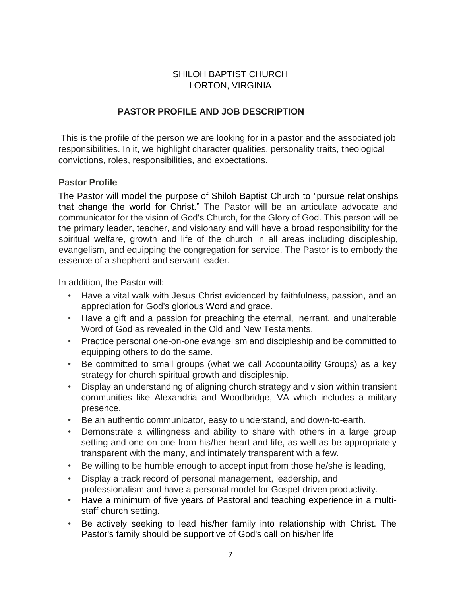# SHILOH BAPTIST CHURCH LORTON, VIRGINIA

# **PASTOR PROFILE AND JOB DESCRIPTION**

This is the profile of the person we are looking for in a pastor and the associated job responsibilities. In it, we highlight character qualities, personality traits, theological convictions, roles, responsibilities, and expectations.

### **Pastor Profile**

The Pastor will model the purpose of Shiloh Baptist Church to "pursue relationships that change the world for Christ." The Pastor will be an articulate advocate and communicator for the vision of God's Church, for the Glory of God. This person will be the primary leader, teacher, and visionary and will have a broad responsibility for the spiritual welfare, growth and life of the church in all areas including discipleship, evangelism, and equipping the congregation for service. The Pastor is to embody the essence of a shepherd and servant leader.

In addition, the Pastor will:

- Have a vital walk with Jesus Christ evidenced by faithfulness, passion, and an appreciation for God's glorious Word and grace.
- Have a gift and a passion for preaching the eternal, inerrant, and unalterable Word of God as revealed in the Old and New Testaments.
- Practice personal one-on-one evangelism and discipleship and be committed to equipping others to do the same.
- Be committed to small groups (what we call Accountability Groups) as a key strategy for church spiritual growth and discipleship.
- Display an understanding of aligning church strategy and vision within transient communities like Alexandria and Woodbridge, VA which includes a military presence.
- Be an authentic communicator, easy to understand, and down-to-earth.
- Demonstrate a willingness and ability to share with others in a large group setting and one-on-one from his/her heart and life, as well as be appropriately transparent with the many, and intimately transparent with a few.
- Be willing to be humble enough to accept input from those he/she is leading,
- Display a track record of personal management, leadership, and professionalism and have a personal model for Gospel-driven productivity.
- Have a minimum of five years of Pastoral and teaching experience in a multistaff church setting.
- Be actively seeking to lead his/her family into relationship with Christ. The Pastor's family should be supportive of God's call on his/her life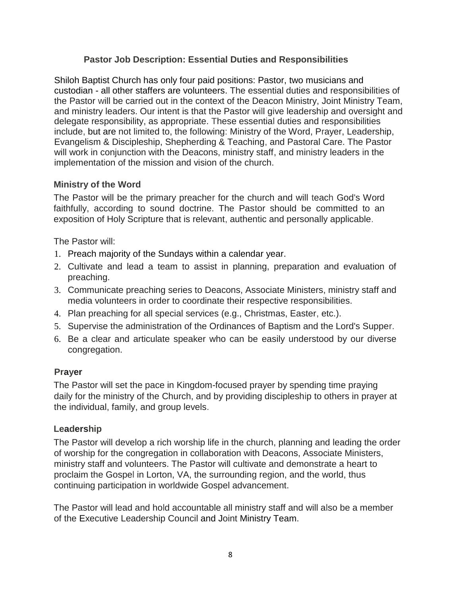# **Pastor Job Description: Essential Duties and Responsibilities**

Shiloh Baptist Church has only four paid positions: Pastor, two musicians and custodian - all other staffers are volunteers. The essential duties and responsibilities of the Pastor will be carried out in the context of the Deacon Ministry, Joint Ministry Team, and ministry leaders. Our intent is that the Pastor will give leadership and oversight and delegate responsibility, as appropriate. These essential duties and responsibilities include, but are not limited to, the following: Ministry of the Word, Prayer, Leadership, Evangelism & Discipleship, Shepherding & Teaching, and Pastoral Care. The Pastor will work in conjunction with the Deacons, ministry staff, and ministry leaders in the implementation of the mission and vision of the church.

### **Ministry of the Word**

The Pastor will be the primary preacher for the church and will teach God's Word faithfully, according to sound doctrine. The Pastor should be committed to an exposition of Holy Scripture that is relevant, authentic and personally applicable.

The Pastor will:

- 1. Preach majority of the Sundays within a calendar year.
- 2. Cultivate and lead a team to assist in planning, preparation and evaluation of preaching.
- 3. Communicate preaching series to Deacons, Associate Ministers, ministry staff and media volunteers in order to coordinate their respective responsibilities.
- 4. Plan preaching for all special services (e.g., Christmas, Easter, etc.).
- 5. Supervise the administration of the Ordinances of Baptism and the Lord's Supper.
- 6. Be a clear and articulate speaker who can be easily understood by our diverse congregation.

### **Prayer**

The Pastor will set the pace in Kingdom-focused prayer by spending time praying daily for the ministry of the Church, and by providing discipleship to others in prayer at the individual, family, and group levels.

### **Leadership**

The Pastor will develop a rich worship life in the church, planning and leading the order of worship for the congregation in collaboration with Deacons, Associate Ministers, ministry staff and volunteers. The Pastor will cultivate and demonstrate a heart to proclaim the Gospel in Lorton, VA, the surrounding region, and the world, thus continuing participation in worldwide Gospel advancement.

The Pastor will lead and hold accountable all ministry staff and will also be a member of the Executive Leadership Council and Joint Ministry Team.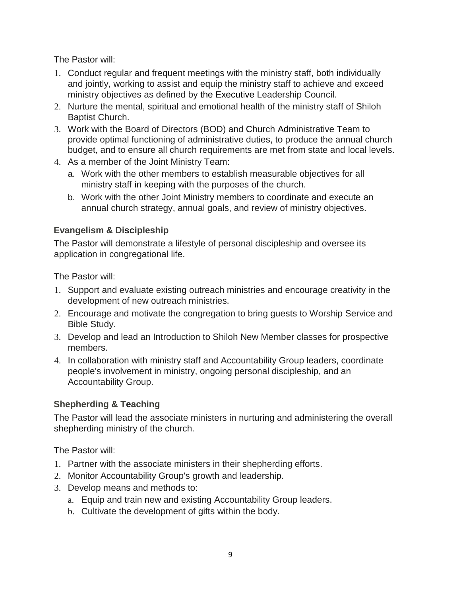The Pastor will:

- 1. Conduct regular and frequent meetings with the ministry staff, both individually and jointly, working to assist and equip the ministry staff to achieve and exceed ministry objectives as defined by the Executive Leadership Council.
- 2. Nurture the mental, spiritual and emotional health of the ministry staff of Shiloh Baptist Church.
- 3. Work with the Board of Directors (BOD) and Church Administrative Team to provide optimal functioning of administrative duties, to produce the annual church budget, and to ensure all church requirements are met from state and local levels.
- 4. As a member of the Joint Ministry Team:
	- a. Work with the other members to establish measurable objectives for all ministry staff in keeping with the purposes of the church.
	- b. Work with the other Joint Ministry members to coordinate and execute an annual church strategy, annual goals, and review of ministry objectives.

# **Evangelism & Discipleship**

The Pastor will demonstrate a lifestyle of personal discipleship and oversee its application in congregational life.

The Pastor will:

- 1. Support and evaluate existing outreach ministries and encourage creativity in the development of new outreach ministries.
- 2. Encourage and motivate the congregation to bring guests to Worship Service and Bible Study.
- 3. Develop and lead an Introduction to Shiloh New Member classes for prospective members.
- 4. In collaboration with ministry staff and Accountability Group leaders, coordinate people's involvement in ministry, ongoing personal discipleship, and an Accountability Group.

### **Shepherding & Teaching**

The Pastor will lead the associate ministers in nurturing and administering the overall shepherding ministry of the church.

The Pastor will:

- 1. Partner with the associate ministers in their shepherding efforts.
- 2. Monitor Accountability Group's growth and leadership.
- 3. Develop means and methods to:
	- a. Equip and train new and existing Accountability Group leaders.
	- b. Cultivate the development of gifts within the body.